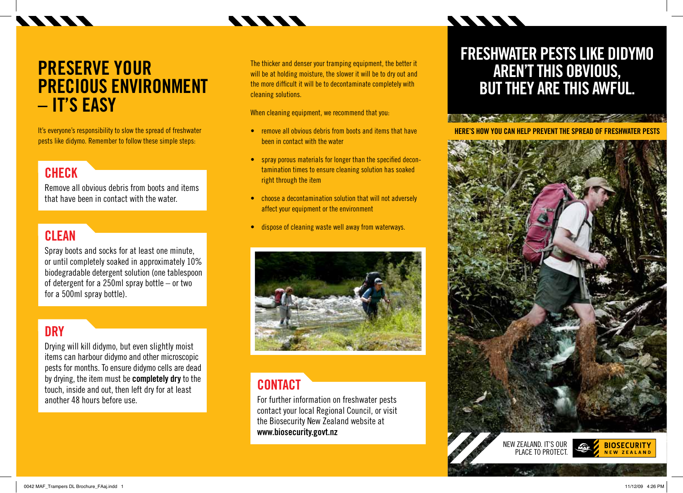### TTTT

## **PRESERVE YOUR PRECIOUS ENVIRONMENT – IT'S EASY**

It's everyone's responsibility to slow the spread of freshwater pests like didymo. Remember to follow these simple steps:

### **CHECK**

Remove all obvious debris from boots and items that have been in contact with the water.

### **CLEAN**

Spray boots and socks for at least one minute, or until completely soaked in approximately 10% biodegradable detergent solution (one tablespoon of detergent for a 250ml spray bottle – or two for a 500ml spray bottle).

#### **DRY**

Drying will kill didymo, but even slightly moist items can harbour didymo and other microscopic pests for months. To ensure didymo cells are dead by drying, the item must be **completely dry** to the touch, inside and out, then left dry for at least another 48 hours before use.

The thicker and denser your tramping equipment, the better it will be at holding moisture, the slower it will be to dry out and the more difficult it will be to decontaminate completely with cleaning solutions.

When cleaning equipment, we recommend that you:

- remove all obvious debris from boots and items that have been in contact with the water
- spray porous materials for longer than the specified decontamination times to ensure cleaning solution has soaked right through the item
- choose a decontamination solution that will not adversely affect your equipment or the environment
- dispose of cleaning waste well away from waterways.



#### **contact**

For further information on freshwater pests contact your local Regional Council, or visit the Biosecurity New Zealand website at **www.biosecurity.govt.nz**

### **Freshwater pests like didymo AREN'T THIS OBVIOUS, butthey are this awful.**

**MANI**